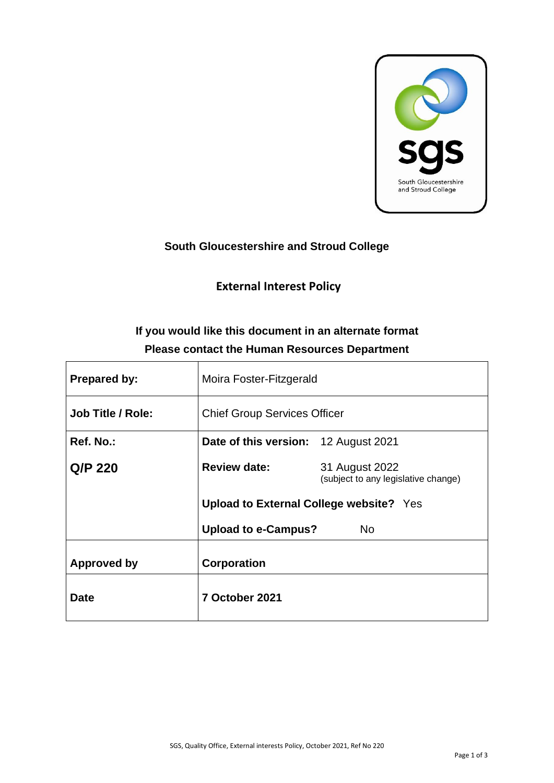

## **South Gloucestershire and Stroud College**

## **External Interest Policy**

# **If you would like this document in an alternate format Please contact the Human Resources Department**

| <b>Prepared by:</b>      | Moira Foster-Fitzgerald                        |                                                       |
|--------------------------|------------------------------------------------|-------------------------------------------------------|
| <b>Job Title / Role:</b> | <b>Chief Group Services Officer</b>            |                                                       |
| Ref. No.:                | <b>Date of this version:</b> 12 August 2021    |                                                       |
| Q/P 220                  | <b>Review date:</b>                            | 31 August 2022<br>(subject to any legislative change) |
|                          | <b>Upload to External College website?</b> Yes |                                                       |
|                          | <b>Upload to e-Campus?</b>                     | No.                                                   |
| Approved by              | Corporation                                    |                                                       |
| <b>Date</b>              | 7 October 2021                                 |                                                       |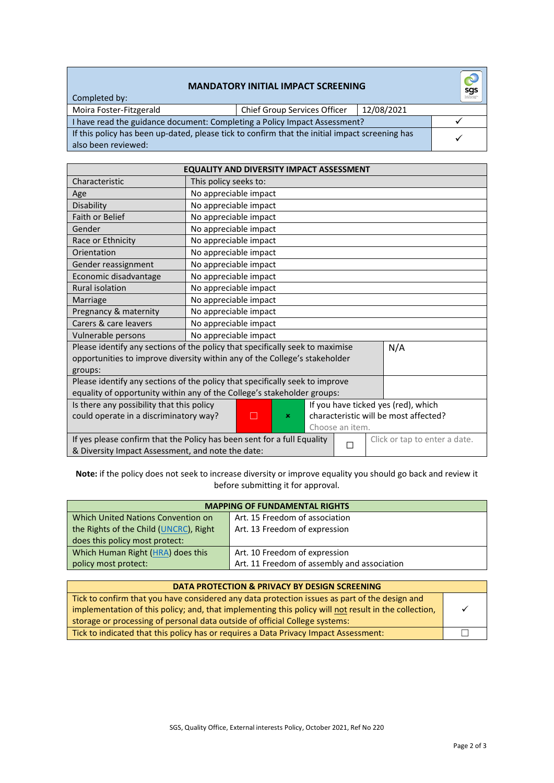### **MANDATORY INITIAL IMPACT SCREENING**

Completed by:

Moira Foster-Fitzgerald Chief Group Services Officer 12/08/2021

|  |  | roup Services Officer | $\vert$ 12/ |
|--|--|-----------------------|-------------|
|  |  |                       |             |

I have read the guidance document: Completing a Policy Impact Assessment? ✓ If this policy has been up-dated, please tick to confirm that the initial impact screening has also been reviewed:

| <b>EQUALITY AND DIVERSITY IMPACT ASSESSMENT</b>                                                                                                                               |                                                                              |  |  |  |                               |
|-------------------------------------------------------------------------------------------------------------------------------------------------------------------------------|------------------------------------------------------------------------------|--|--|--|-------------------------------|
| Characteristic                                                                                                                                                                | This policy seeks to:                                                        |  |  |  |                               |
| Age                                                                                                                                                                           | No appreciable impact                                                        |  |  |  |                               |
| Disability                                                                                                                                                                    | No appreciable impact                                                        |  |  |  |                               |
| <b>Faith or Belief</b>                                                                                                                                                        | No appreciable impact                                                        |  |  |  |                               |
| Gender                                                                                                                                                                        | No appreciable impact                                                        |  |  |  |                               |
| Race or Ethnicity                                                                                                                                                             | No appreciable impact                                                        |  |  |  |                               |
| Orientation                                                                                                                                                                   | No appreciable impact                                                        |  |  |  |                               |
| Gender reassignment                                                                                                                                                           | No appreciable impact                                                        |  |  |  |                               |
| Economic disadvantage                                                                                                                                                         | No appreciable impact                                                        |  |  |  |                               |
| <b>Rural isolation</b>                                                                                                                                                        | No appreciable impact                                                        |  |  |  |                               |
| Marriage                                                                                                                                                                      | No appreciable impact                                                        |  |  |  |                               |
| Pregnancy & maternity                                                                                                                                                         | No appreciable impact                                                        |  |  |  |                               |
| Carers & care leavers                                                                                                                                                         | No appreciable impact                                                        |  |  |  |                               |
| Vulnerable persons                                                                                                                                                            | No appreciable impact                                                        |  |  |  |                               |
| Please identify any sections of the policy that specifically seek to maximise<br>N/A<br>opportunities to improve diversity within any of the College's stakeholder<br>groups: |                                                                              |  |  |  |                               |
|                                                                                                                                                                               | Please identify any sections of the policy that specifically seek to improve |  |  |  |                               |
|                                                                                                                                                                               | equality of opportunity within any of the College's stakeholder groups:      |  |  |  |                               |
| If you have ticked yes (red), which<br>Is there any possibility that this policy                                                                                              |                                                                              |  |  |  |                               |
| characteristic will be most affected?<br>could operate in a discriminatory way?<br>$\Box$<br>$\pmb{\times}$<br>Choose an item.                                                |                                                                              |  |  |  |                               |
|                                                                                                                                                                               | If yes please confirm that the Policy has been sent for a full Equality      |  |  |  | Click or tap to enter a date. |
| П<br>& Diversity Impact Assessment, and note the date:                                                                                                                        |                                                                              |  |  |  |                               |

**Note:** if the policy does not seek to increase diversity or improve equality you should go back and review it before submitting it for approval.

| <b>MAPPING OF FUNDAMENTAL RIGHTS</b>   |                                             |  |
|----------------------------------------|---------------------------------------------|--|
| Which United Nations Convention on     | Art. 15 Freedom of association              |  |
| the Rights of the Child (UNCRC), Right | Art. 13 Freedom of expression               |  |
| does this policy most protect:         |                                             |  |
| Which Human Right (HRA) does this      | Art. 10 Freedom of expression               |  |
| policy most protect:                   | Art. 11 Freedom of assembly and association |  |

#### **DATA PROTECTION & PRIVACY BY DESIGN SCREENING** Tick to confirm that you have considered any data protection issues as part of the design and implementation of this policy; and, that implementing this policy will not result in the collection, storage or processing of personal data outside of official College systems: ✓

Tick to indicated that this policy has or requires a Data Privacy Impact Assessment: │ │ │ │ │

✓

 $\delta$ sgs